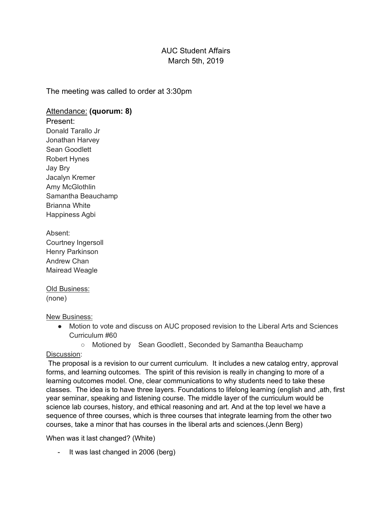# AUC Student Affairs March 5th, 2019

The meeting was called to order at 3:30pm

## Attendance: **(quorum: 8)**

Present: Donald Tarallo Jr Jonathan Harvey Sean Goodlett Robert Hynes Jay Bry Jacalyn Kremer Amy McGlothlin Samantha Beauchamp Brianna White Happiness Agbi

Absent: Courtney Ingersoll Henry Parkinson Andrew Chan Mairead Weagle

#### Old Business: (none)

New Business:

- Motion to vote and discuss on AUC proposed revision to the Liberal Arts and Sciences Curriculum #60
	- Motioned by Sean Goodlett, Seconded by Samantha Beauchamp

### Discussion:

The proposal is a revision to our current curriculum. It includes a new catalog entry, approval forms, and learning outcomes. The spirit of this revision is really in changing to more of a learning outcomes model. One, clear communications to why students need to take these classes. The idea is to have three layers. Foundations to lifelong learning (english and ,ath, first year seminar, speaking and listening course. The middle layer of the curriculum would be science lab courses, history, and ethical reasoning and art. And at the top level we have a sequence of three courses, which is three courses that integrate learning from the other two courses, take a minor that has courses in the liberal arts and sciences.(Jenn Berg)

When was it last changed? (White)

- It was last changed in 2006 (berg)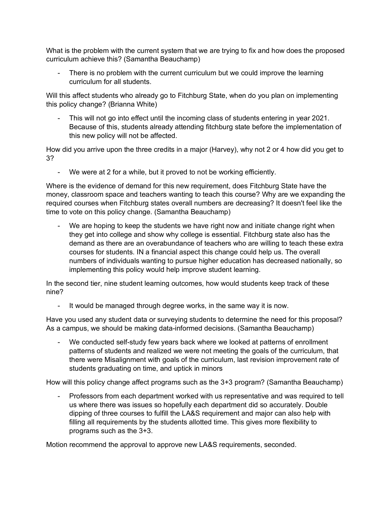What is the problem with the current system that we are trying to fix and how does the proposed curriculum achieve this? (Samantha Beauchamp)

There is no problem with the current curriculum but we could improve the learning curriculum for all students.

Will this affect students who already go to Fitchburg State, when do you plan on implementing this policy change? (Brianna White)

- This will not go into effect until the incoming class of students entering in year 2021. Because of this, students already attending fitchburg state before the implementation of this new policy will not be affected.

How did you arrive upon the three credits in a major (Harvey), why not 2 or 4 how did you get to 3?

- We were at 2 for a while, but it proved to not be working efficiently.

Where is the evidence of demand for this new requirement, does Fitchburg State have the money, classroom space and teachers wanting to teach this course? Why are we expanding the required courses when Fitchburg states overall numbers are decreasing? It doesn't feel like the time to vote on this policy change. (Samantha Beauchamp)

- We are hoping to keep the students we have right now and initiate change right when they get into college and show why college is essential. Fitchburg state also has the demand as there are an overabundance of teachers who are willing to teach these extra courses for students. IN a financial aspect this change could help us. The overall numbers of individuals wanting to pursue higher education has decreased nationally, so implementing this policy would help improve student learning.

In the second tier, nine student learning outcomes, how would students keep track of these nine?

- It would be managed through degree works, in the same way it is now.

Have you used any student data or surveying students to determine the need for this proposal? As a campus, we should be making data-informed decisions. (Samantha Beauchamp)

We conducted self-study few years back where we looked at patterns of enrollment patterns of students and realized we were not meeting the goals of the curriculum, that there were Misalignment with goals of the curriculum, last revision improvement rate of students graduating on time, and uptick in minors

How will this policy change affect programs such as the 3+3 program? (Samantha Beauchamp)

- Professors from each department worked with us representative and was required to tell us where there was issues so hopefully each department did so accurately. Double dipping of three courses to fulfill the LA&S requirement and major can also help with filling all requirements by the students allotted time. This gives more flexibility to programs such as the 3+3.

Motion recommend the approval to approve new LA&S requirements, seconded.